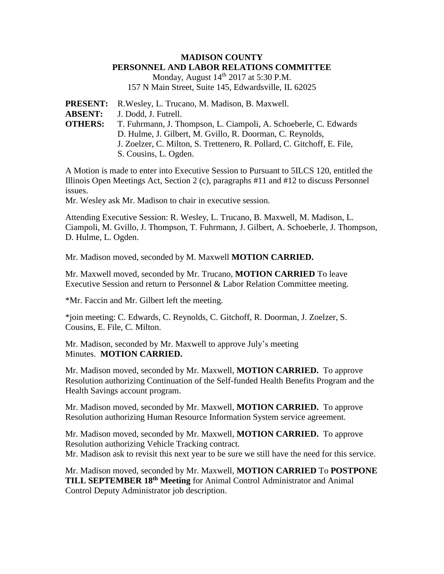## **MADISON COUNTY PERSONNEL AND LABOR RELATIONS COMMITTEE**

Monday, August 14<sup>th</sup> 2017 at 5:30 P.M. 157 N Main Street, Suite 145, Edwardsville, IL 62025

**PRESENT:** R.Wesley, L. Trucano, M. Madison, B. Maxwell. **ABSENT:** J. Dodd, J. Futrell. **OTHERS:** T. Fuhrmann, J. Thompson, L. Ciampoli, A. Schoeberle, C. Edwards D. Hulme, J. Gilbert, M. Gvillo, R. Doorman, C. Reynolds, J. Zoelzer, C. Milton, S. Trettenero, R. Pollard, C. Gitchoff, E. File, S. Cousins, L. Ogden.

A Motion is made to enter into Executive Session to Pursuant to 5ILCS 120, entitled the Illinois Open Meetings Act, Section 2 (c), paragraphs #11 and #12 to discuss Personnel issues.

Mr. Wesley ask Mr. Madison to chair in executive session.

Attending Executive Session: R. Wesley, L. Trucano, B. Maxwell, M. Madison, L. Ciampoli, M. Gvillo, J. Thompson, T. Fuhrmann, J. Gilbert, A. Schoeberle, J. Thompson, D. Hulme, L. Ogden.

Mr. Madison moved, seconded by M. Maxwell **MOTION CARRIED.**

Mr. Maxwell moved, seconded by Mr. Trucano, **MOTION CARRIED** To leave Executive Session and return to Personnel & Labor Relation Committee meeting.

\*Mr. Faccin and Mr. Gilbert left the meeting.

\*join meeting: C. Edwards, C. Reynolds, C. Gitchoff, R. Doorman, J. Zoelzer, S. Cousins, E. File, C. Milton.

Mr. Madison, seconded by Mr. Maxwell to approve July's meeting Minutes. **MOTION CARRIED.**

Mr. Madison moved, seconded by Mr. Maxwell, **MOTION CARRIED.** To approve Resolution authorizing Continuation of the Self-funded Health Benefits Program and the Health Savings account program.

Mr. Madison moved, seconded by Mr. Maxwell, **MOTION CARRIED.** To approve Resolution authorizing Human Resource Information System service agreement.

Mr. Madison moved, seconded by Mr. Maxwell, **MOTION CARRIED.** To approve Resolution authorizing Vehicle Tracking contract. Mr. Madison ask to revisit this next year to be sure we still have the need for this service.

Mr. Madison moved, seconded by Mr. Maxwell, **MOTION CARRIED** To **POSTPONE TILL SEPTEMBER 18th Meeting** for Animal Control Administrator and Animal Control Deputy Administrator job description.